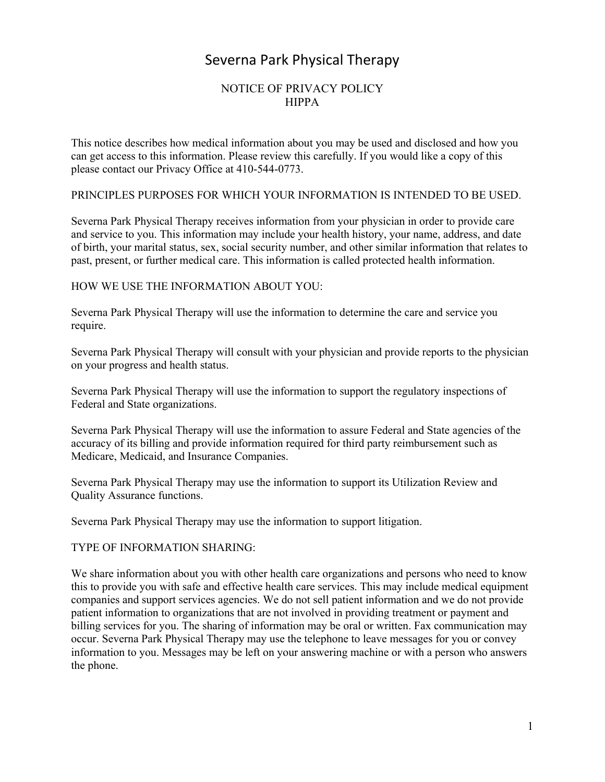# Severna Park Physical Therapy

# NOTICE OF PRIVACY POLICY HIPPA

This notice describes how medical information about you may be used and disclosed and how you can get access to this information. Please review this carefully. If you would like a copy of this please contact our Privacy Office at 410-544-0773.

## PRINCIPLES PURPOSES FOR WHICH YOUR INFORMATION IS INTENDED TO BE USED.

Severna Park Physical Therapy receives information from your physician in order to provide care and service to you. This information may include your health history, your name, address, and date of birth, your marital status, sex, social security number, and other similar information that relates to past, present, or further medical care. This information is called protected health information.

# HOW WE USE THE INFORMATION ABOUT YOU:

Severna Park Physical Therapy will use the information to determine the care and service you require.

Severna Park Physical Therapy will consult with your physician and provide reports to the physician on your progress and health status.

Severna Park Physical Therapy will use the information to support the regulatory inspections of Federal and State organizations.

Severna Park Physical Therapy will use the information to assure Federal and State agencies of the accuracy of its billing and provide information required for third party reimbursement such as Medicare, Medicaid, and Insurance Companies.

Severna Park Physical Therapy may use the information to support its Utilization Review and Quality Assurance functions.

Severna Park Physical Therapy may use the information to support litigation.

# TYPE OF INFORMATION SHARING:

We share information about you with other health care organizations and persons who need to know this to provide you with safe and effective health care services. This may include medical equipment companies and support services agencies. We do not sell patient information and we do not provide patient information to organizations that are not involved in providing treatment or payment and billing services for you. The sharing of information may be oral or written. Fax communication may occur. Severna Park Physical Therapy may use the telephone to leave messages for you or convey information to you. Messages may be left on your answering machine or with a person who answers the phone.